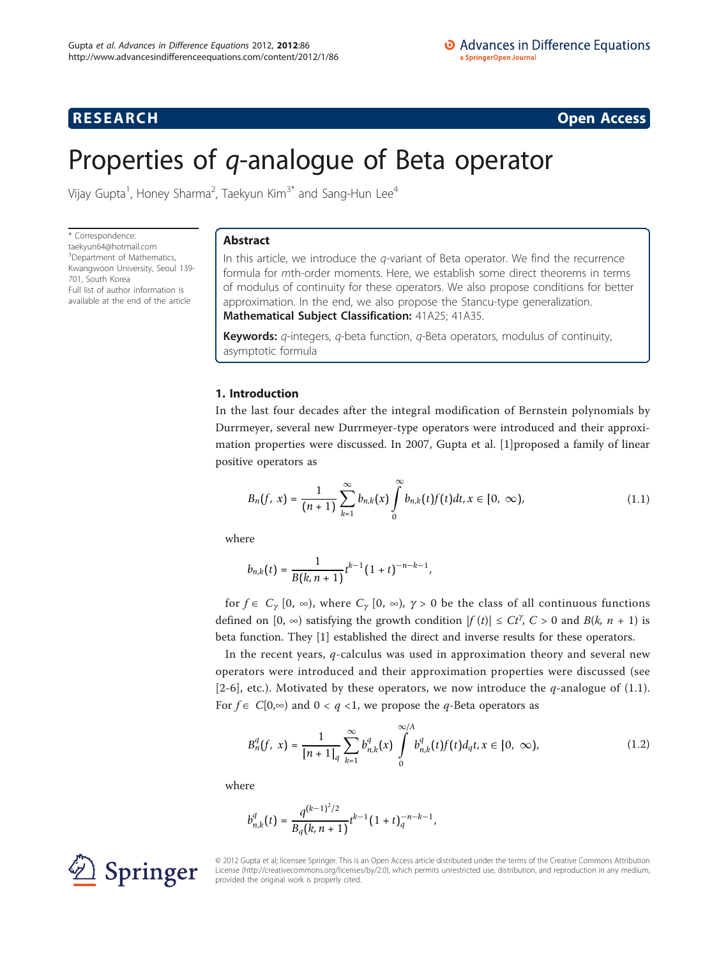**RESEARCH CONSTRUCTION CONSTRUCTS** 

# Properties of q-analogue of Beta operator

Vijay Gupta<sup>1</sup>, Honey Sharma<sup>2</sup>, Taekyun Kim<sup>3\*</sup> and Sang-Hun Lee<sup>4</sup>

\* Correspondence: [taekyun64@hotmail.com](mailto:taekyun64@hotmail.com) <sup>3</sup>Department of Mathematics, Kwangwoon University, Seoul 139- 701, South Korea Full list of author information is available at the end of the article

# Abstract

In this article, we introduce the  $q$ -variant of Beta operator. We find the recurrence formula for mth-order moments. Here, we establish some direct theorems in terms of modulus of continuity for these operators. We also propose conditions for better approximation. In the end, we also propose the Stancu-type generalization. Mathematical Subject Classification: 41A25; 41A35.

**Keywords:**  $q$ -integers,  $q$ -beta function,  $q$ -Beta operators, modulus of continuity, asymptotic formula

# 1. Introduction

In the last four decades after the integral modification of Bernstein polynomials by Durrmeyer, several new Durrmeyer-type operators were introduced and their approximation properties were discussed. In 2007, Gupta et al. [\[1](#page-14-0)]proposed a family of linear positive operators as

$$
B_n(f, x) = \frac{1}{(n+1)} \sum_{k=1}^{\infty} b_{n,k}(x) \int_0^{\infty} b_{n,k}(t) f(t) dt, x \in [0, \infty), \tag{1.1}
$$

where

$$
b_{n,k}(t)=\frac{1}{B(k,n+1)}t^{k-1}(1+t)^{-n-k-1},
$$

for  $f \in C_{\gamma} [0, \infty)$ , where  $C_{\gamma} [0, \infty)$ ,  $\gamma > 0$  be the class of all continuous functions defined on [0,  $\infty$ ) satisfying the growth condition  $|f(t)| \le Ct^{\gamma}$ ,  $C > 0$  and  $B(k, n + 1)$  is beta function. They [\[1](#page-14-0)] established the direct and inverse results for these operators.

In the recent years,  $q$ -calculus was used in approximation theory and several new operators were introduced and their approximation properties were discussed (see [[2-6\]](#page-14-0), etc.). Motivated by these operators, we now introduce the *q*-analogue of (1.1). For *f* ∈  $C[0,∞)$  and 0 < *q* <1, we propose the *q*-Beta operators as

$$
B_n^q(f, x) = \frac{1}{[n+1]_q} \sum_{k=1}^{\infty} b_{n,k}^q(x) \int_0^{\infty/4} b_{n,k}^q(t) f(t) d_q t, x \in [0, \infty), \tag{1.2}
$$

where

$$
b_{n,k}^q(t)=\frac{q^{(k-1)^2/2}}{B_q(k,n+1)}t^{k-1}\big(1+t\big)^{-n-k-1}_q,
$$



© 2012 Gupta et al; licensee Springer. This is an Open Access article distributed under the terms of the Creative Commons Attribution License [\(http://creativecommons.org/licenses/by/2.0](http://creativecommons.org/licenses/by/2.0)), which permits unrestricted use, distribution, and reproduction in any medium, provided the original work is properly cited.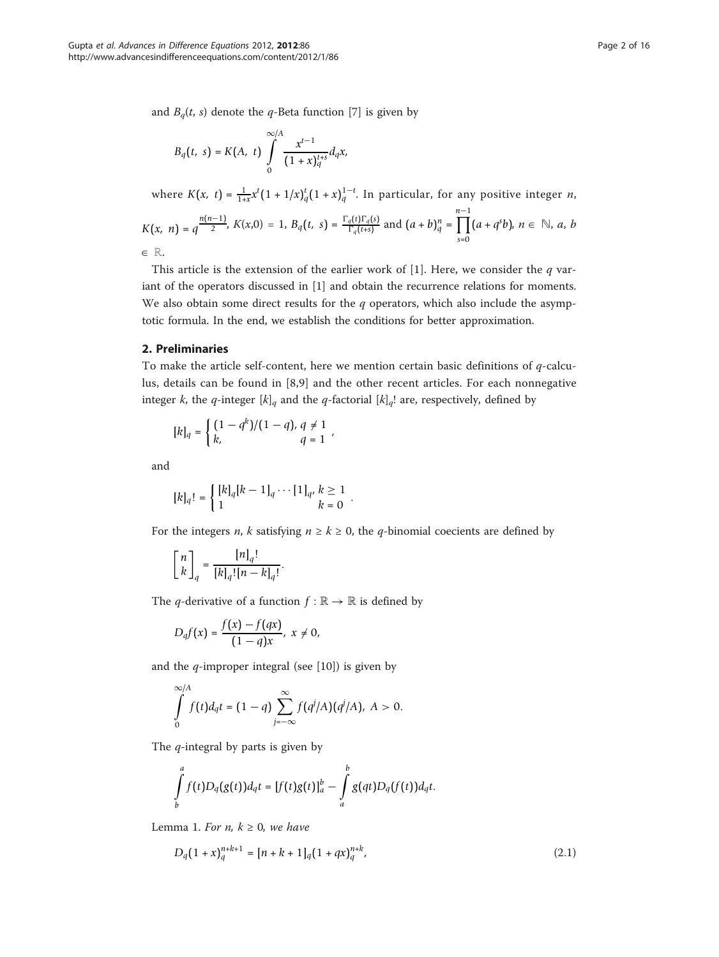and  $B_q(t, s)$  denote the q-Beta function [[7\]](#page-14-0) is given by

$$
B_q(t, s) = K(A, t) \int_0^{\infty/4} \frac{x^{t-1}}{(1+x)_q^{t+s}} d_q x,
$$

where  $K(x, t) = \frac{1}{1+x} x^t (1 + 1/x)_q^t (1 + x)_q^{1-t}$ . In particular, for any positive integer *n*,

$$
K(x, n) = q^{\frac{n(n-1)}{2}}, K(x,0) = 1, B_q(t, s) = \frac{\Gamma_q(t)\Gamma_q(s)}{\Gamma_q(t+s)}
$$
 and  $(a+b)^n_q = \prod_{s=0}^{n-1} (a + q^s b), n \in \mathbb{N}, a, b$ 

 $\in \mathbb{R}.$ 

This article is the extension of the earlier work of [[1](#page-14-0)]. Here, we consider the  $q$  variant of the operators discussed in [[1\]](#page-14-0) and obtain the recurrence relations for moments. We also obtain some direct results for the  $q$  operators, which also include the asymptotic formula. In the end, we establish the conditions for better approximation.

#### 2. Preliminaries

To make the article self-content, here we mention certain basic definitions of  $q$ -calculus, details can be found in [\[8](#page-14-0),[9\]](#page-14-0) and the other recent articles. For each nonnegative integer k, the q-integer  $[k]_q$  and the q-factorial  $[k]_q$ ! are, respectively, defined by

$$
[k]_q = \begin{cases} (1 - q^k)/(1 - q), q \neq 1 \\ k, & q = 1 \end{cases}
$$

and

$$
[k]_q! = \begin{cases} [k]_q [k-1]_q \cdots [1]_{q'} \; k \geq 1 \\ 1 \; k = 0 \end{cases}.
$$

For the integers *n*, *k* satisfying  $n \ge k \ge 0$ , the *q*-binomial coecients are defined by

$$
\begin{bmatrix} n \\ k \end{bmatrix}_q = \frac{[n]_q!}{[k]_q! [n-k]_q!}
$$

The *q*-derivative of a function  $f : \mathbb{R} \to \mathbb{R}$  is defined by

.

$$
D_q f(x) = \frac{f(x) - f(qx)}{(1 - q)x}, \; x \neq 0,
$$

and the  $q$ -improper integral (see [\[10](#page-14-0)]) is given by

$$
\int_{0}^{\infty/A} f(t)d_qt = (1-q)\sum_{j=-\infty}^{\infty} f(q^j/A)(q^j/A), A > 0.
$$

The  $q$ -integral by parts is given by

$$
\int_{b}^{a} f(t)D_q(g(t))d_qt = [f(t)g(t)]_{a}^{b} - \int_{a}^{b} g(qt)D_q(f(t))d_qt.
$$

Lemma 1. For n,  $k \geq 0$ , we have

$$
D_q(1+x)_q^{n+k+1} = [n+k+1]_q(1+qx)_q^{n+k},
$$
\n(2.1)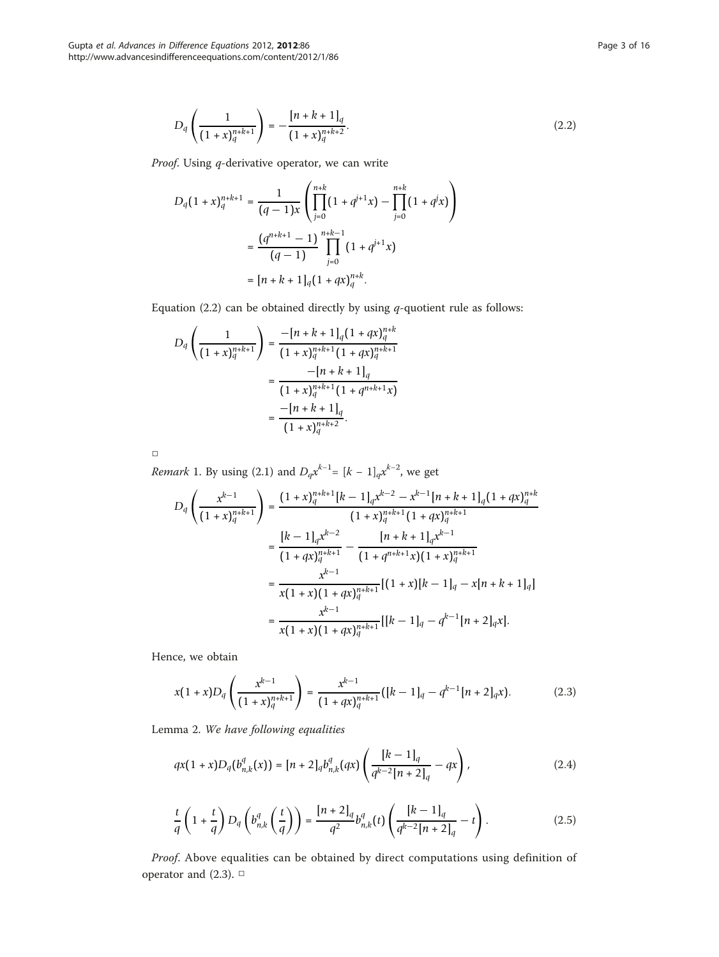$$
D_q\left(\frac{1}{\left(1+x\right)_q^{n+k+1}}\right) = -\frac{\left[n+k+1\right]_q}{\left(1+x\right)_q^{n+k+2}}.\tag{2.2}
$$

Proof. Using q-derivative operator, we can write

$$
D_q(1+x)_q^{n+k+1} = \frac{1}{(q-1)x} \left( \prod_{j=0}^{n+k} (1+q^{j+1}x) - \prod_{j=0}^{n+k} (1+q^jx) \right)
$$
  
= 
$$
\frac{(q^{n+k+1}-1)}{(q-1)} \prod_{j=0}^{n+k-1} (1+q^{j+1}x)
$$
  
= 
$$
[n+k+1]_q(1+qx)_q^{n+k}.
$$

Equation (2.2) can be obtained directly by using  $q$ -quotient rule as follows:

$$
D_q\left(\frac{1}{(1+x)_q^{n+k+1}}\right) = \frac{-[n+k+1]_q(1+qx)_q^{n+k}}{(1+x)_q^{n+k+1}(1+qx)_q^{n+k+1}}
$$

$$
= \frac{-[n+k+1]_q}{(1+x)_q^{n+k+1}(1+q^{n+k+1}x)}
$$

$$
= \frac{-[n+k+1]_q}{(1+x)_q^{n+k+2}}.
$$

 $\Box$ 

*Remark* 1. By using (2.1) and  $D_q x^{k-1} = [k-1]_q x^{k-2}$ , we get

$$
D_q\left(\frac{x^{k-1}}{(1+x)_q^{n+k+1}}\right) = \frac{(1+x)_q^{n+k+1}[k-1]_q x^{k-2} - x^{k-1}[n+k+1]_q (1+qx)_q^{n+k}}{(1+x)_q^{n+k+1}} \\
= \frac{[k-1]_q x^{k-2}}{(1+qx)_q^{n+k+1}} - \frac{[n+k+1]_q x^{k-1}}{(1+q^{n+k+1}x)(1+x)_q^{n+k+1}} \\
= \frac{x^{k-1}}{x(1+x)(1+qx)_q^{n+k+1}} \left[(1+x)[k-1]_q - x[n+k+1]_q\right] \\
= \frac{x^{k-1}}{x(1+x)(1+qx)_q^{n+k+1}} \left[[k-1]_q - q^{k-1}[n+2]_q x\right].
$$

Hence, we obtain

$$
x(1+x)D_q\left(\frac{x^{k-1}}{(1+x)_{q}^{n+k+1}}\right) = \frac{x^{k-1}}{(1+qx)_{q}^{n+k+1}}([k-1]_q - q^{k-1}[n+2]_q x). \tag{2.3}
$$

Lemma 2. We have following equalities

$$
qx(1+x)D_q(b_{n,k}^q(x)) = [n+2]_q b_{n,k}^q(qx) \left(\frac{[k-1]_q}{q^{k-2}[n+2]_q} - qx\right),
$$
\n(2.4)

$$
\frac{t}{q}\left(1+\frac{t}{q}\right)D_q\left(b_{n,k}^q\left(\frac{t}{q}\right)\right)=\frac{[n+2]_q}{q^2}b_{n,k}^q(t)\left(\frac{[k-1]_q}{q^{k-2}[n+2]_q}-t\right).
$$
\n(2.5)

Proof. Above equalities can be obtained by direct computations using definition of operator and (2.3). □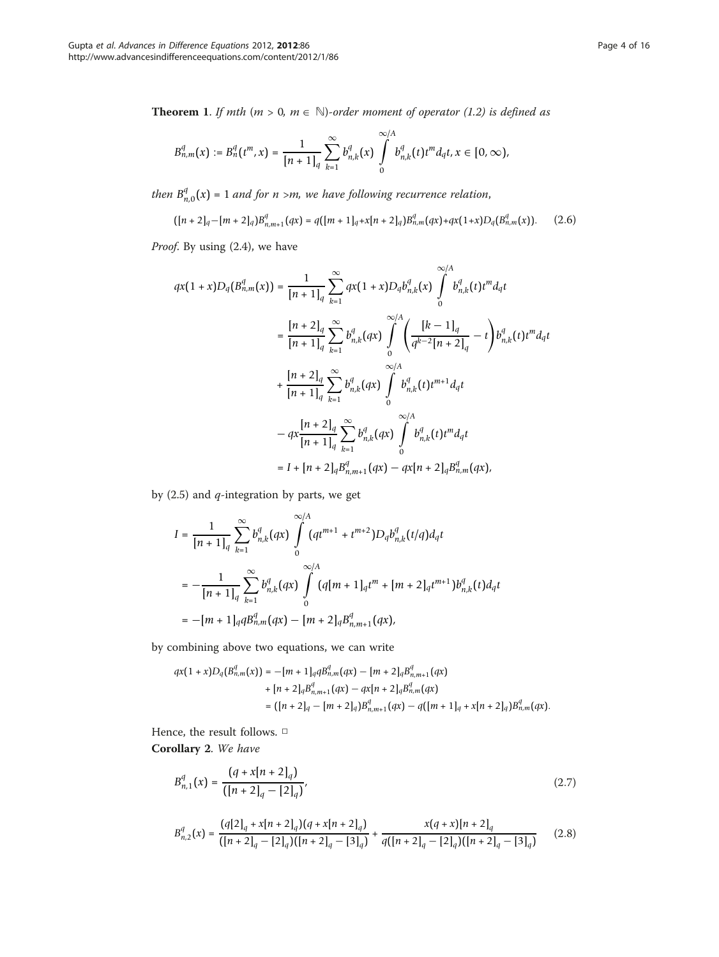**Theorem 1.** If mth ( $m > 0$ ,  $m \in \mathbb{N}$ )-order moment of operator (1.2) is defined as

$$
B_{n,m}^q(x) := B_n^q(t^m, x) = \frac{1}{[n+1]_q} \sum_{k=1}^{\infty} b_{n,k}^q(x) \int_0^{\infty/4} b_{n,k}^q(t) t^m d_q t, x \in [0, \infty),
$$

then  $B_{n,0}^q(x)$  = 1 and for n >m, we have following recurrence relation,

$$
([n+2]_q - [m+2]_q)B^q_{n,m+1}(qx) = q([m+1]_q + x[n+2]_q)B^q_{n,m}(qx) + qx(1+x)D_q(B^q_{n,m}(x)).
$$
 (2.6)

Proof. By using (2.4), we have

$$
qx(1+x)D_q(B_{n,m}^q(x)) = \frac{1}{[n+1]_q} \sum_{k=1}^{\infty} qx(1+x)D_q b_{n,k}^q(x) \int_0^{\infty/A} b_{n,k}^q(t) t^m d_q t
$$
  

$$
= \frac{[n+2]_q}{[n+1]_q} \sum_{k=1}^{\infty} b_{n,k}^q(qx) \int_0^{\infty/A} \left(\frac{[k-1]_q}{q^{k-2}[n+2]_q} - t\right) b_{n,k}^q(t) t^m d_q t
$$
  

$$
+ \frac{[n+2]_q}{[n+1]_q} \sum_{k=1}^{\infty} b_{n,k}^q(qx) \int_0^{\infty/A} b_{n,k}^q(t) t^{m+1} d_q t
$$
  

$$
- qx \frac{[n+2]_q}{[n+1]_q} \sum_{k=1}^{\infty} b_{n,k}^q(qx) \int_0^{\infty/A} b_{n,k}^q(t) t^m d_q t
$$
  

$$
= I + [n+2]_q B_{n,m+1}^q(qx) - qx[n+2]_q B_{n,m}^q(qx),
$$

by  $(2.5)$  and  $q$ -integration by parts, we get

$$
I = \frac{1}{[n+1]_q} \sum_{k=1}^{\infty} b_{n,k}^q(qx) \int_0^{\infty/A} (qt^{m+1} + t^{m+2}) D_q b_{n,k}^q(t/q) d_q t
$$
  

$$
= -\frac{1}{[n+1]_q} \sum_{k=1}^{\infty} b_{n,k}^q(qx) \int_0^{\infty/A} (q[m+1]_q t^m + [m+2]_q t^{m+1}) b_{n,k}^q(t) d_q t
$$
  

$$
= -[m+1]_q q B_{n,m}^q(qx) - [m+2]_q B_{n,m+1}^q(qx),
$$

by combining above two equations, we can write

$$
\begin{aligned} qx(1+x)D_q\big(B_{n,m}^q(x)\big) &= -[m+1]_q q B_{n,m}^q(qx) - [m+2]_q B_{n,m+1}^q(qx) \\ &+ [n+2]_q B_{n,m+1}^q(qx) - qx[n+2]_q B_{n,m}^q(qx) \\ &= \big( [n+2]_q - [m+2]_q \big) B_{n,m+1}^q(qx) - q \big( [m+1]_q + x[n+2]_q \big) B_{n,m}^q(qx). \end{aligned}
$$

Hence, the result follows.  $\Box$ 

Corollary 2. We have

$$
B_{n,1}^q(x) = \frac{(q + x[n+2]_q)}{([n+2]_q - [2]_q)},
$$
\n(2.7)

$$
B_{n,2}^q(x) = \frac{(q[2]_q + x[n+2]_q)(q + x[n+2]_q)}{([n+2]_q - [2]_q)([n+2]_q - [3]_q)} + \frac{x(q+x)[n+2]_q}{q([n+2]_q - [2]_q)([n+2]_q - [3]_q)}
$$
(2.8)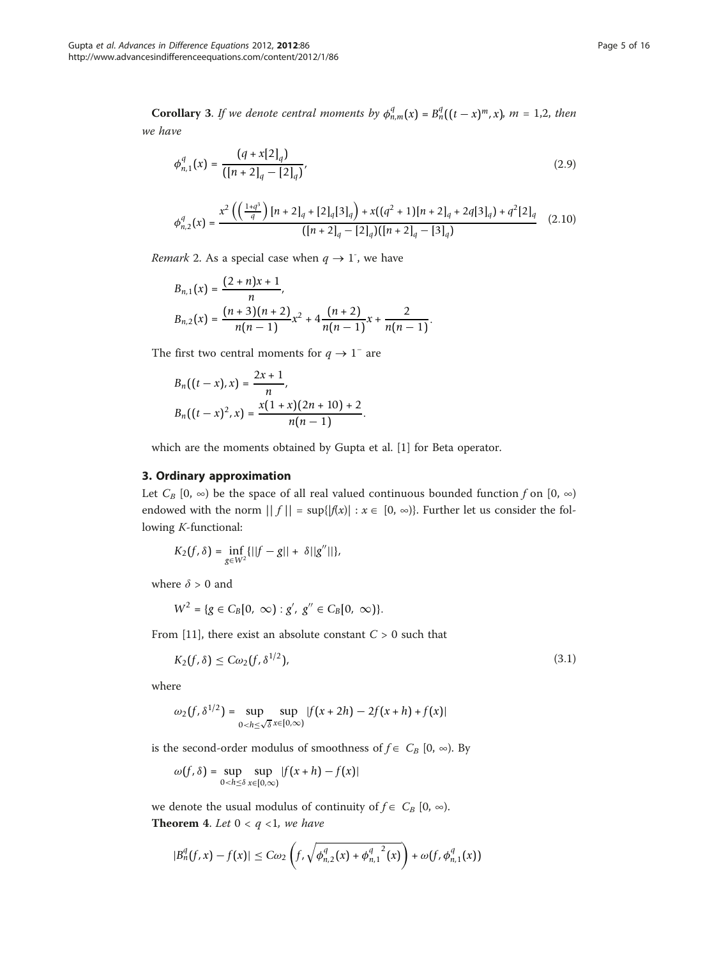**Corollary** 3. If we denote central moments by  $\phi_{n,m}^q(x) = B_n^q((t-x)^m, x)$ ,  $m = 1, 2$ , then we have

$$
\phi_{n,1}^q(x) = \frac{(q + x[2]_q)}{([n+2]_q - [2]_q)},
$$
\n(2.9)

$$
\phi_{n,2}^q(x) = \frac{x^2 \left( \left( \frac{1+q^3}{q} \right) [n+2]_q + [2]_q [3]_q \right) + x((q^2+1)[n+2]_q + 2q [3]_q) + q^2 [2]_q}{([n+2]_q - [2]_q)([n+2]_q - [3]_q)}
$$
(2.10)

Remark 2. As a special case when  $q \to 1$ <sup>-</sup>, we have

$$
B_{n,1}(x) = \frac{(2+n)x+1}{n},
$$
  
\n
$$
B_{n,2}(x) = \frac{(n+3)(n+2)}{n(n-1)}x^2 + 4\frac{(n+2)}{n(n-1)}x + \frac{2}{n(n-1)}.
$$

The first two central moments for  $q \to 1^-$  are

$$
B_n((t-x),x) = \frac{2x+1}{n},
$$
  
\n
$$
B_n((t-x)^2,x) = \frac{x(1+x)(2n+10)+2}{n(n-1)}.
$$

which are the moments obtained by Gupta et al. [\[1\]](#page-14-0) for Beta operator.

# 3. Ordinary approximation

Let  $C_B$  [0,  $\infty$ ) be the space of all real valued continuous bounded function f on [0,  $\infty$ ) endowed with the norm  $|| f || = \sup{ |f(x)| : x \in [0, \infty) \}$ . Further let us consider the following K-functional:

$$
K_2(f, \delta) = \inf_{g \in W^2} \{ ||f - g|| + \delta ||g''|| \},\
$$

where  $\delta > 0$  and

$$
W^{2} = \{g \in C_{B}[0, \infty) : g', g'' \in C_{B}[0, \infty)\}.
$$

From [[11\]](#page-14-0), there exist an absolute constant  $C > 0$  such that

$$
K_2(f,\delta) \le C\omega_2(f,\delta^{1/2}),\tag{3.1}
$$

where

$$
\omega_2(f, \delta^{1/2}) = \sup_{0 < h \le \sqrt{\delta}} \sup_{x \in [0, \infty)} |f(x + 2h) - 2f(x + h) + f(x)|
$$

is the second-order modulus of smoothness of  $f \in C_B [0, \infty)$ . By

$$
\omega(f, \delta) = \sup_{0 < h \leq \delta} \sup_{x \in [0, \infty)} |f(x + h) - f(x)|
$$

we denote the usual modulus of continuity of  $f \in C_B [0, \infty)$ . **Theorem 4.** Let  $0 < q < 1$ , we have

$$
|B_n^q(f, x) - f(x)| \leq C\omega_2 \left( f, \sqrt{\phi_{n,2}^q(x) + {\phi_{n,1}^q}^2(x)} \right) + \omega(f, \phi_{n,1}^q(x))
$$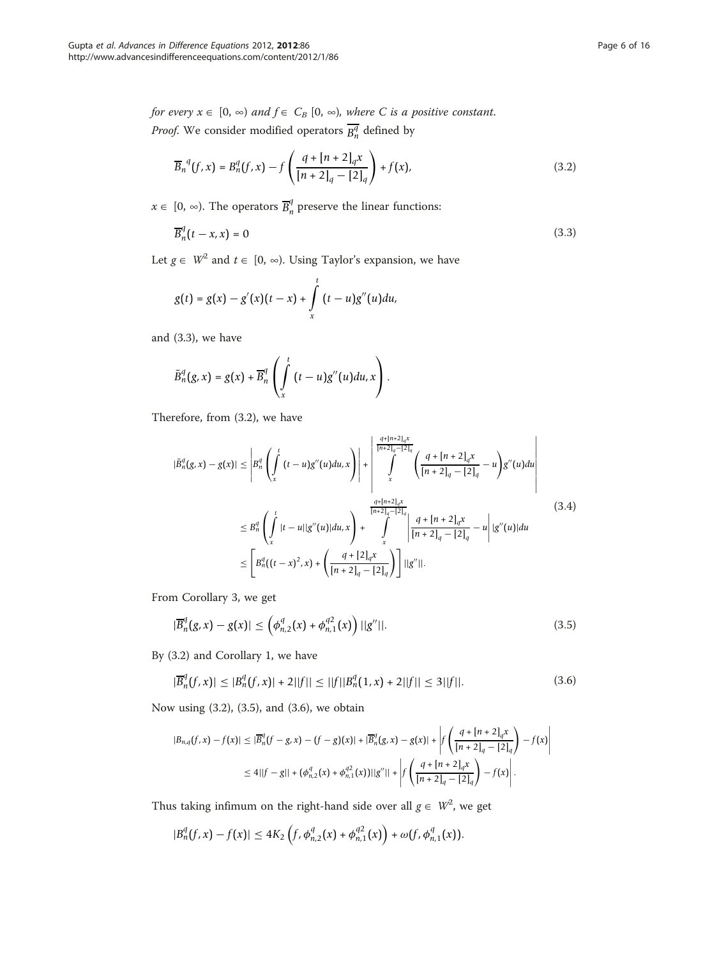$$
\overline{B}_n^q(f,x) = B_n^q(f,x) - f\left(\frac{q + [n+2]_q x}{[n+2]_q - [2]_q}\right) + f(x),\tag{3.2}
$$

 $x \in [0, ∞)$ . The operators  $\overline{B}_{n}^{q}$  preserve the linear functions:

$$
\overline{B}_n^q(t-x,x) = 0 \tag{3.3}
$$

Let  $g \in W^2$  and  $t \in [0, \infty)$ . Using Taylor's expansion, we have

$$
g(t) = g(x) - g'(x)(t - x) + \int_{x}^{t} (t - u)g''(u)du,
$$

and (3.3), we have

$$
\bar{B}_n^q(g,x)=g(x)+\overline{B}_n^q\left(\int\limits_x^t (t-u)g''(u)du,x\right).
$$

Therefore, from (3.2), we have

$$
|\bar{B}_{n}^{q}(g,x)-g(x)| \leq \left|B_{n}^{q}\left(\int_{x}^{t} (t-u)g''(u)du,x\right)\right| + \left|\int_{x}^{\frac{q+[n+2]_{q}x}{[n+2]_{q}-[2]_{q}}}\left(\frac{q+[n+2]_{q}x}{[n+2]_{q}-[2]_{q}}-u\right)g''(u)du\right|
$$
  

$$
\leq B_{n}^{q}\left(\int_{x}^{t} |t-u||g''(u)|du,x\right) + \int_{x}^{\frac{q+[n+2]_{q}x}{[n+2]_{q}-[2]_{q}}}\left|\frac{q+[n+2]_{q}x}{[n+2]_{q}-[2]_{q}}-u\right| |g''(u)|du
$$
  

$$
\leq \left[B_{n}^{q}\left((t-x)^{2},x\right)+\left(\frac{q+[2]_{q}x}{[n+2]_{q}-[2]_{q}}\right)\right]||g''||.
$$
 (3.4)

From Corollary 3, we get

$$
|\overline{B}_n^q(g,x) - g(x)| \le \left(\phi_{n,2}^q(x) + \phi_{n,1}^{q2}(x)\right) ||g''||. \tag{3.5}
$$

By (3.2) and Corollary 1, we have

$$
|\overline{B}_n^q(f,x)| \le |B_n^q(f,x)| + 2||f|| \le ||f||B_n^q(1,x) + 2||f|| \le 3||f||. \tag{3.6}
$$

Now using (3.2), (3.5), and (3.6), we obtain

$$
|B_{n,q}(f,x) - f(x)| \leq |\overline{B}_n^q(f - g, x) - (f - g)(x)| + |\overline{B}_n^q(g, x) - g(x)| + \left| f\left(\frac{q + [n+2]_q x}{[n+2]_q - [2]_q}\right) - f(x) \right|
$$
  

$$
\leq 4||f - g|| + (\phi_{n,2}^q(x) + \phi_{n,1}^{q^2}(x))||g''|| + \left| f\left(\frac{q + [n+2]_q x}{[n+2]_q - [2]_q}\right) - f(x) \right|.
$$

Thus taking infimum on the right-hand side over all  $g \in W^2$ , we get

$$
|B_n^q(f,x)-f(x)| \leq 4K_2\left(f,\phi_{n,2}^q(x)+\phi_{n,1}^{q2}(x)\right)+\omega(f,\phi_{n,1}^q(x)).
$$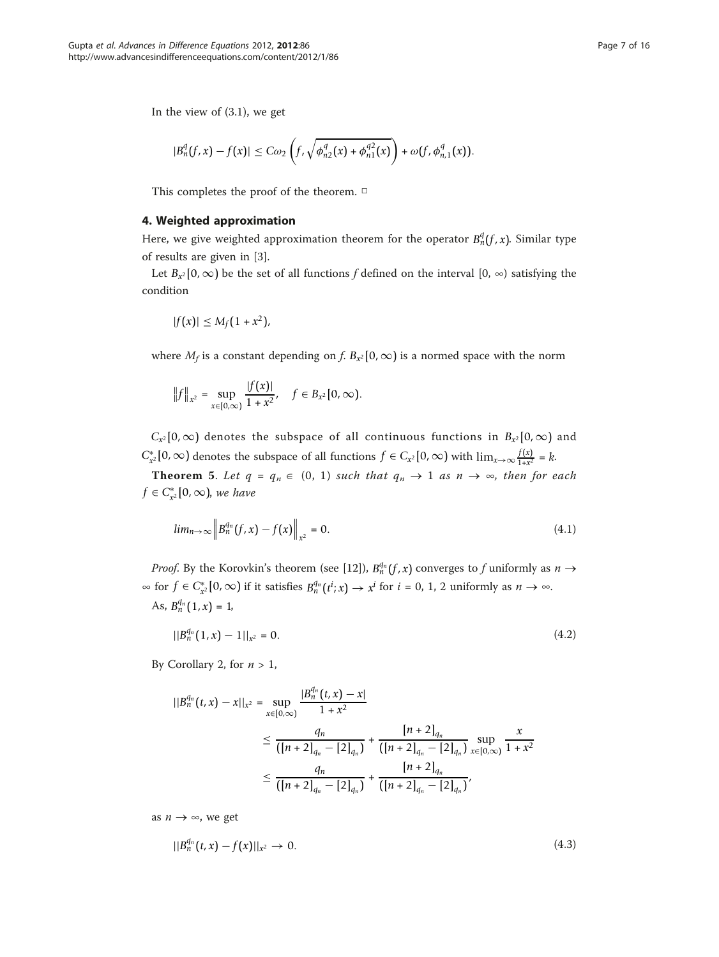In the view of (3.1), we get

$$
|B_n^q(f,x)-f(x)| \leq C\omega_2\left(f,\sqrt{\phi_{n2}^q(x)+\phi_{n1}^{q2}(x)}\right)+\omega(f,\phi_{n,1}^q(x)).
$$

This completes the proof of the theorem. □

#### 4. Weighted approximation

Here, we give weighted approximation theorem for the operator  $B_n^q(f, x)$ . Similar type of results are given in [\[3](#page-14-0)].

Let  $B_{x^2} [0, \infty)$  be the set of all functions f defined on the interval  $[0, \infty)$  satisfying the condition

$$
|f(x)| \leq M_f(1+x^2),
$$

where  $M_f$  is a constant depending on f.  $B_{x^2} [0, \infty)$  is a normed space with the norm

$$
||f||_{x^2} = \sup_{x \in [0,\infty)} \frac{|f(x)|}{1+x^2}, \quad f \in B_{x^2}[0,\infty).
$$

 $C_{x^2} [0, \infty)$  denotes the subspace of all continuous functions in  $B_{x^2} [0, \infty)$  and *C*<sup>∗</sup><sub>*x*</sub><sup>2</sup> [0, ∞) denotes the subspace of all functions *f* ∈ *C<sub>x</sub>*<sup>2</sup> [0, ∞) with lim<sub>*x*→∞  $\frac{f(x)}{1+x^2}$ </sub> = *k*.

**Theorem 5.** Let  $q = q_n \in (0, 1)$  such that  $q_n \to 1$  as  $n \to \infty$ , then for each  $f$  ∈  $C_{x^2}^*[0, \infty)$ , we have

$$
lim_{n \to \infty} ||B_n^{q_n}(f, x) - f(x)||_{x^2} = 0.
$$
\n(4.1)

*Proof.* By the Korovkin's theorem (see [\[12\]](#page-14-0)),  $B_n^{q_n}(f, x)$  converges to f uniformly as  $n \to$ ∞ for  $f \in C_{x^2}^*[0, \infty)$  if it satisfies  $B_n^{q_n}(t^i; x) \to x^i$  for  $i = 0, 1, 2$  uniformly as  $n \to \infty$ . As,  $B_n^{q_n}(1, x) = 1$ 

$$
||B_n^{q_n}(1,x) - 1||_{x^2} = 0. \tag{4.2}
$$

By Corollary 2, for  $n > 1$ ,

$$
||B_n^{q_n}(t,x) - x||_{x^2} = \sup_{x \in [0,\infty)} \frac{|B_n^{q_n}(t,x) - x|}{1 + x^2}
$$
  
\n
$$
\leq \frac{q_n}{(\lfloor n+2 \rfloor_{q_n} - \lfloor 2 \rfloor_{q_n})} + \frac{\lfloor n+2 \rfloor_{q_n}}{(\lfloor n+2 \rfloor_{q_n} - \lfloor 2 \rfloor_{q_n})} \sup_{x \in [0,\infty)} \frac{x}{1 + x^2}
$$
  
\n
$$
\leq \frac{q_n}{(\lfloor n+2 \rfloor_{q_n} - \lfloor 2 \rfloor_{q_n})} + \frac{\lfloor n+2 \rfloor_{q_n}}{(\lfloor n+2 \rfloor_{q_n} - \lfloor 2 \rfloor_{q_n})},
$$

as  $n \to \infty$ , we get

$$
||B_n^{q_n}(t,x) - f(x)||_{x^2} \to 0. \tag{4.3}
$$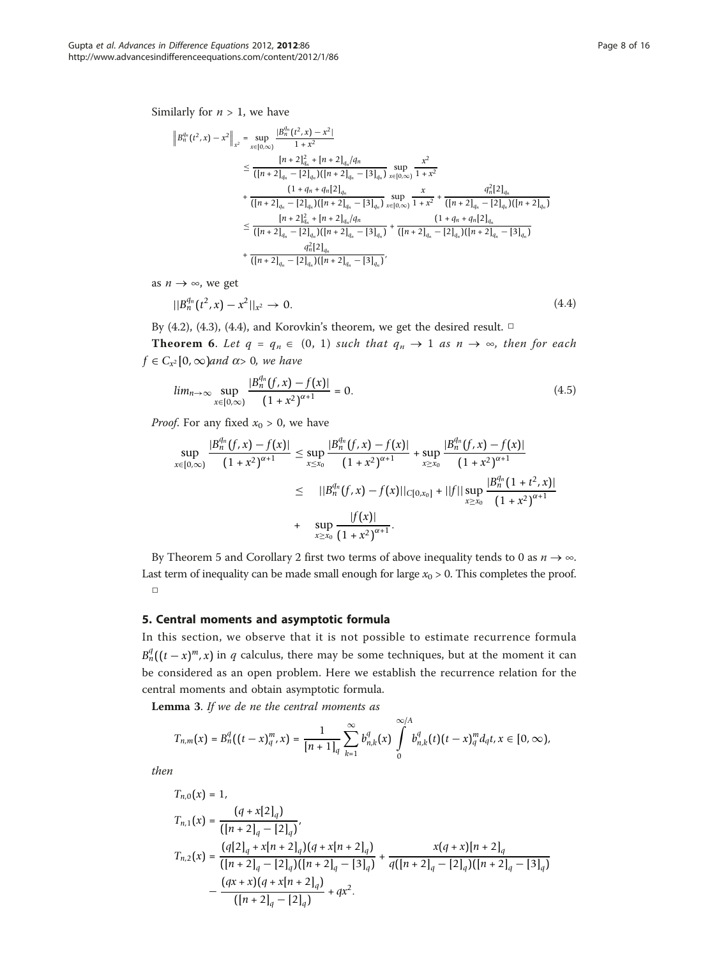Similarly for  $n > 1$ , we have

$$
\|B_n^{q_n}(t^2, x) - x^2\|_{x^2} = \sup_{x \in [0,\infty)} \frac{|B_n^{q_n}(t^2, x) - x^2|}{1 + x^2}
$$
  
\n
$$
\leq \frac{[n+2]_{q_n}^2 + [n+2]_{q_n}/(q_n)}{([n+2]_{q_n} - [2]_{q_n})([n+2]_{q_n} - [3]_{q_n})} \sup_{x \in [0,\infty)} \frac{x^2}{1 + x^2}
$$
  
\n+ 
$$
\frac{(1+q_n+q_n|2]_{q_n}}{([n+2]_{q_n} - [2]_{q_n})([n+2]_{q_n} - [3]_{q_n})} \sup_{x \in [0,\infty)} \frac{x}{1 + x^2} + \frac{q_n^2|2]_{q_n}}{([n+2]_{q_n} - [2]_{q_n})([n+2]_{q_n} - [2]_{q_n})([n+2]_{q_n} - [3]_{q_n})}
$$
  
\n
$$
\leq \frac{[n+2]_{q_n}^2 + [n+2]_{q_n}q_n}{([n+2]_{q_n} - [2]_{q_n})([n+2]_{q_n} - [3]_{q_n})} + \frac{(1+q_n+q_n|2]_{q_n}}{([n+2]_{q_n} - [3]_{q_n})}
$$
  
\n+ 
$$
\frac{q_n^2|2]_{q_n}}{([n+2]_{q_n} - [2]_{q_n})([n+2]_{q_n} - [3]_{q_n})},
$$

as  $n \to \infty$ , we get

$$
||B_n^{q_n}(t^2, x) - x^2||_{x^2} \to 0. \tag{4.4}
$$

By (4.2), (4.3), (4.4), and Korovkin's theorem, we get the desired result.  $\Box$ 

**Theorem 6.** Let  $q = q_n \in (0, 1)$  such that  $q_n \to 1$  as  $n \to \infty$ , then for each  $f \in C_{x^2}[0, \infty)$ and  $\alpha > 0$ , we have

$$
lim_{n \to \infty} \sup_{x \in [0,\infty)} \frac{|B_n^{q_n}(f,x) - f(x)|}{(1 + x^2)^{\alpha + 1}} = 0.
$$
\n(4.5)

*Proof.* For any fixed  $x_0 > 0$ , we have

$$
\sup_{x\in[0,\infty)}\frac{|B_n^{q_n}(f,x)-f(x)|}{(1+x^2)^{\alpha+1}}\leq \sup_{x\leq x_0}\frac{|B_n^{q_n}(f,x)-f(x)|}{(1+x^2)^{\alpha+1}}+\sup_{x\geq x_0}\frac{|B_n^{q_n}(f,x)-f(x)|}{(1+x^2)^{\alpha+1}}
$$
  

$$
\leq ||B_n^{q_n}(f,x)-f(x)||_{C[0,x_0]}+||f||\sup_{x\geq x_0}\frac{|B_n^{q_n}(1+t^2,x)|}{(1+x^2)^{\alpha+1}}
$$
  
+ 
$$
\sup_{x\geq x_0}\frac{|f(x)|}{(1+x^2)^{\alpha+1}}.
$$

By Theorem 5 and Corollary 2 first two terms of above inequality tends to 0 as  $n \to \infty$ . Last term of inequality can be made small enough for large  $x_0 > 0$ . This completes the proof. □

## 5. Central moments and asymptotic formula

In this section, we observe that it is not possible to estimate recurrence formula  $B_n^q((t-x)^m, x)$  in q calculus, there may be some techniques, but at the moment it can be considered as an open problem. Here we establish the recurrence relation for the central moments and obtain asymptotic formula.

Lemma 3. If we de ne the central moments as

$$
T_{n,m}(x) = B_n^q((t-x)_q^m, x) = \frac{1}{[n+1]_q} \sum_{k=1}^{\infty} b_{n,k}^q(x) \int_0^{\infty/A} b_{n,k}^q(t) (t-x)_q^m d_qt, x \in [0, \infty),
$$

then

$$
T_{n,0}(x) = 1,
$$
  
\n
$$
T_{n,1}(x) = \frac{(q + x[2]_q)}{([n + 2]_q - [2]_q)},
$$
  
\n
$$
T_{n,2}(x) = \frac{(q[2]_q + x[n + 2]_q)(q + x[n + 2]_q)}{([n + 2]_q - [2]_q)([n + 2]_q - [3]_q)} + \frac{x(q + x)[n + 2]_q}{q([n + 2]_q - [2]_q)([n + 2]_q - [3]_q)} - \frac{(qx + x)(q + x[n + 2]_q)}{([n + 2]_q - [2]_q)} + qx^2.
$$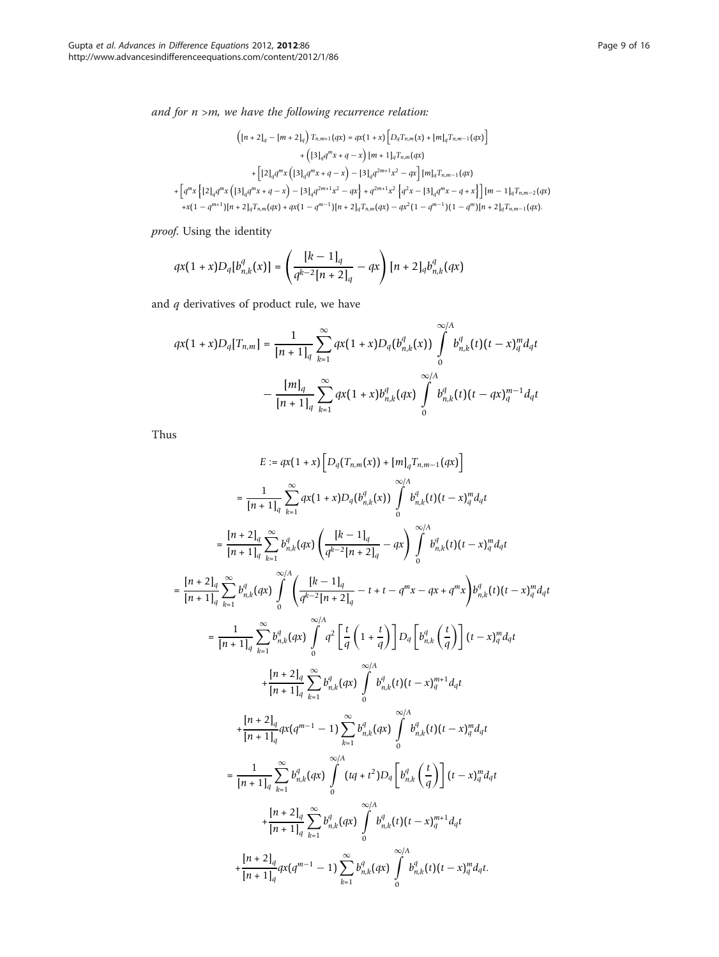and for  $n > m$ , we have the following recurrence relation:

$$
\begin{split} \left(\left[n+2\right]_q-\left[m+2\right]_q\right)T_{n,m+1}(qx)=qx(1+x)\left[D_qT_{n,m}(x)+\left[m\right]_qT_{n,m-1}(qx)\right]\\+\left(\left[3\right]_qq^mx+q-x\right)\left[m+1\right]_qT_{n,m}(qx)\\+\left[\left[2\right]_qq^mx\left(\left[3\right]_qq^mx+q-x\right)-\left[3\right]_qq^{2m+1}x^2-qx\right]\left[m\right]_qT_{n,m-1}(qx)\\+\left[q^mx\left\{\left[2\right]_qq^mx+q-x\right)-\left[3\right]_qq^{2m+1}x^2-qx\right\}+q^{2m+1}x^2\left\{q^2x-\left[3\right]_qq^mx-q+x\right\}\right]\left[m-1\right]_qT_{n,m-2}(qx)\\+x(1-q^{m+1})\left[n+2\right]_qT_{n,m}(qx)+qx(1-q^{m-1})\left[n+2\right]_qT_{n,m}(qx)-qx^2(1-q^{m-1})(1-q^m)\left[n+2\right]_qT_{n,m-1}(qx). \end{split}
$$

proof. Using the identity

$$
qx(1+x)D_q[b_{n,k}^q(x)] = \left(\frac{[k-1]_q}{q^{k-2}[n+2]_q} - qx\right)[n+2]_q b_{n,k}^q(qx)
$$

and  $q$  derivatives of product rule, we have

$$
qx(1+x)D_q[T_{n,m}] = \frac{1}{[n+1]_q} \sum_{k=1}^{\infty} qx(1+x)D_q(b_{n,k}^q(x)) \int_0^{\infty} b_{n,k}^q(t)(t-x)_{q}^{m}d_qt
$$

$$
-\frac{[m]_q}{[n+1]_q} \sum_{k=1}^{\infty} qx(1+x)b_{n,k}^q(qx) \int_0^{\infty} b_{n,k}^q(t)(t-qx)_{q}^{m-1}d_qt
$$

Thus

$$
E := qx(1+x) \left[ D_q(T_{n,m}(x)) + [m]_q T_{n,m-1}(qx) \right]
$$
\n
$$
= \frac{1}{[n+1]_q} \sum_{k=1}^{\infty} \alpha x(1+x) D_q(b_{n,k}^q(x)) \int_0^{\infty/k} b_{n,k}^q(t) (t-x)_q^m d_q t
$$
\n
$$
= \frac{[n+2]_q}{[n+1]_q} \sum_{k=1}^{\infty} b_{n,k}^q(qx) \left( \frac{[k-1]_q}{q^{k-2}[n+2]_q} - qx \right) \int_0^{\infty/k} b_{n,k}^q(t) (t-x)_q^m d_q t
$$
\n
$$
= \frac{[n+2]_q}{[n+1]_q} \sum_{k=1}^{\infty} b_{n,k}^q(qx) \int_0^{\infty/k} \left( \frac{[k-1]_q}{q^{k-2}[n+2]_q} - t + t - q^m x - qx + q^m x \right) b_{n,k}^q(t) (t-x)_q^m d_q t
$$
\n
$$
= \frac{1}{[n+1]_q} \sum_{k=1}^{\infty} b_{n,k}^q(qx) \int_0^{\infty/k} q^2 \left[ \frac{t}{q} \left( 1 + \frac{t}{q} \right) \right] D_q \left[ b_{n,k}^q \left( \frac{t}{q} \right) \right] (t-x)_q^m d_q t
$$
\n
$$
+ \frac{[n+2]_q}{[n+1]_q} \sum_{k=1}^{\infty} b_{n,k}^q(qx) \int_0^{\infty/k} b_{n,k}^q(t) (t-x)_q^{m+1} d_q t
$$
\n
$$
+ \frac{[n+2]_q}{[n+1]_q} qx(q^{m-1} - 1) \sum_{k=1}^{\infty} b_{n,k}^q(qx) \int_0^{\infty/k} b_{n,k}^q(t) (t-x)_q^m d_q t
$$
\n
$$
= \frac{1}{[n+1]_q} \sum_{k=1}^{\infty} b_{n,k}^q(qx) \int_0^{\infty/k} (t-q)^{m+1} d_q t
$$
\n
$$
+ \frac{[n+2]_q}{[n+1]_q}
$$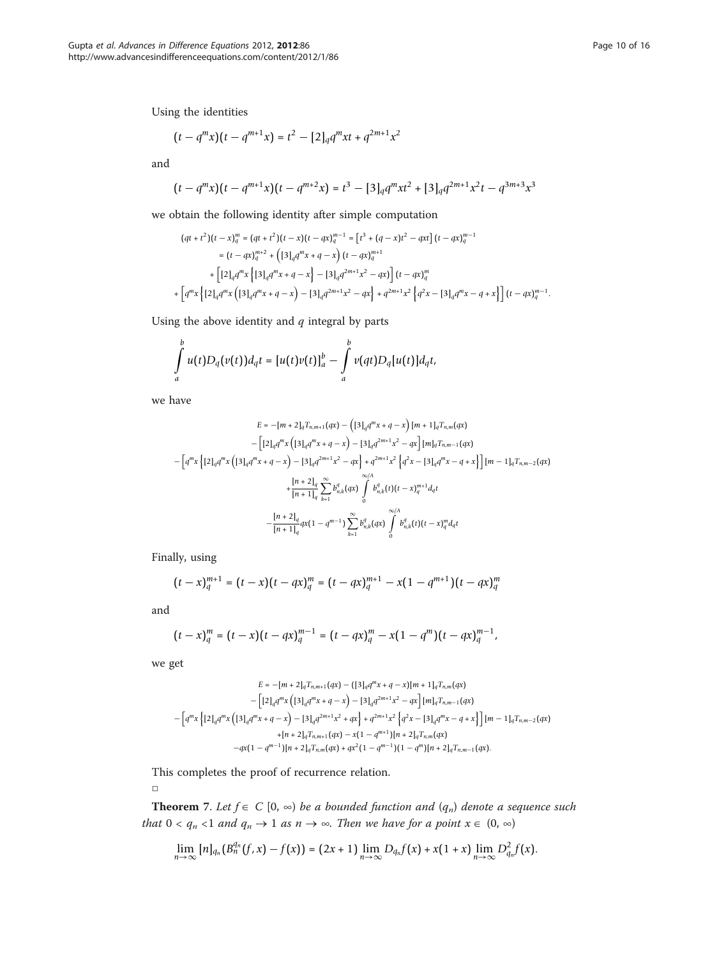Using the identities

$$
\bigl(t-q^m x\bigr)\bigl(t-q^{m+1}x\bigr) = t^2- [2]_q q^m x t + q^{2m+1} x^2
$$

and

$$
(t - qmx)(t - qm+1x)(t - qm+2x) = t3 - [3]qqmxt2 + [3]qq2m+1x2t - q3m+3x3
$$

we obtain the following identity after simple computation

$$
(qt + t2)(t - x)qm = (qt + t2)(t - x)(t - qx)qm-1 = [t3 + (q - x)t2 - qxt] (t - qx)qm-1\n= (t - qx)qm+2 + [(3]qqmx + q - x] (t - qx)qm+1\n+ [(2]qqmx {[3]qqmx + q - x] - [3]qq2m+1x2 - qx] (t - qx)qm\n+ [qmx {[2]qqmx (13]qqmx + q - x] - [3]qq2m+1x2 - qx] + q2m+1x2 {q2x - [3]qqmx - q + x}] (t - qx)qm-1
$$

Using the above identity and  $q$  integral by parts

$$
\int_a^b u(t)D_q(v(t))d_qt=[u(t)v(t)]_a^b-\int_a^b v(qt)D_q[u(t)]d_qt,
$$

we have

$$
E = -[m+2]_q T_{n,m+1}(qx) - (3]_q q^m x + q - x) [m+1]_q T_{n,m}(qx)
$$
  

$$
- [2]_q q^m x (13]_q q^m x + q - x) - [3]_q q^{2m+1} x^2 - qx] [m]_q T_{n,m-1}(qx)
$$
  

$$
- [q^m x \{12]_q q^m x (13]_q q^m x + q - x) - [3]_q q^{2m+1} x^2 - qx \} + q^{2m+1} x^2 \{q^2 x - [3]_q q^m x - q + x \}] [m - 1]_q T_{n,m-2}(qx)
$$
  

$$
+ \frac{[n+2]_q}{[n+1]_q} \sum_{k=1}^{\infty} b_{n,k}^q (qx) \int_0^{\infty/4} b_{n,k}^q (t) (t - x)_q^{m+1} d_q t
$$
  

$$
- \frac{[n+2]_q}{[n+1]_q} q x (1 - q^{m-1}) \sum_{k=1}^{\infty} b_{n,k}^q (qx) \int_0^{\infty/4} b_{n,k}^q (t) (t - x)_q^m d_q t
$$

Finally, using

$$
(t-x)_{q}^{m+1} = (t-x)(t-qx)_{q}^{m} = (t-qx)_{q}^{m+1} - x(1-q^{m+1})(t-qx)_{q}^{m}
$$

and

$$
(t-x)_q^m = (t-x)(t-qx)_q^{m-1} = (t-qx)_q^m - x(1-q^m)(t-qx)_q^{m-1},
$$

we get

$$
E = -[m+2]_qT_{n,m+1}(qx) - ([3]_qq^mx+q-x)[m+1]_qT_{n,m}(qx) - [12]_qq^mx \left( [3]_qq^mx+q-x \right) - [3]_qq^{2m+1}x^2 - qx ] [m]_qT_{n,m-1}(qx) - [q^mx \left\{ [2]_qq^mx+q-x \right\} - [3]_qq^{2m+1}x^2 + qx \right\} + q^{2m+1}x^2 \left\{ q^2x - [3]_qq^mx-q+x \right\}][m-1]_qT_{n,m-2}(qx) + [n+2]_qT_{n,m+1}(qx) - x(1-q^{m+1})[n+2]_qT_{n,m}(qx) -qx(1-q^{m-1})[n+2]_qT_{n,m}(qx) + qx^2(1-q^{m-1})(1-q^m)[n+2]_qT_{n,m-1}(qx).
$$

This completes the proof of recurrence relation.

□

**Theorem** 7. Let  $f \in C$  [0,  $\infty$ ) be a bounded function and  $(q_n)$  denote a sequence such that  $0 < q_n < 1$  and  $q_n \to 1$  as  $n \to \infty$ . Then we have for a point  $x \in (0, \infty)$ 

$$
\lim_{n\to\infty}[n]_{q_n}(B_n^{q_n}(f,x)-f(x))=(2x+1)\lim_{n\to\infty}D_{q_n}f(x)+x(1+x)\lim_{n\to\infty}D_{q_n}^2f(x).
$$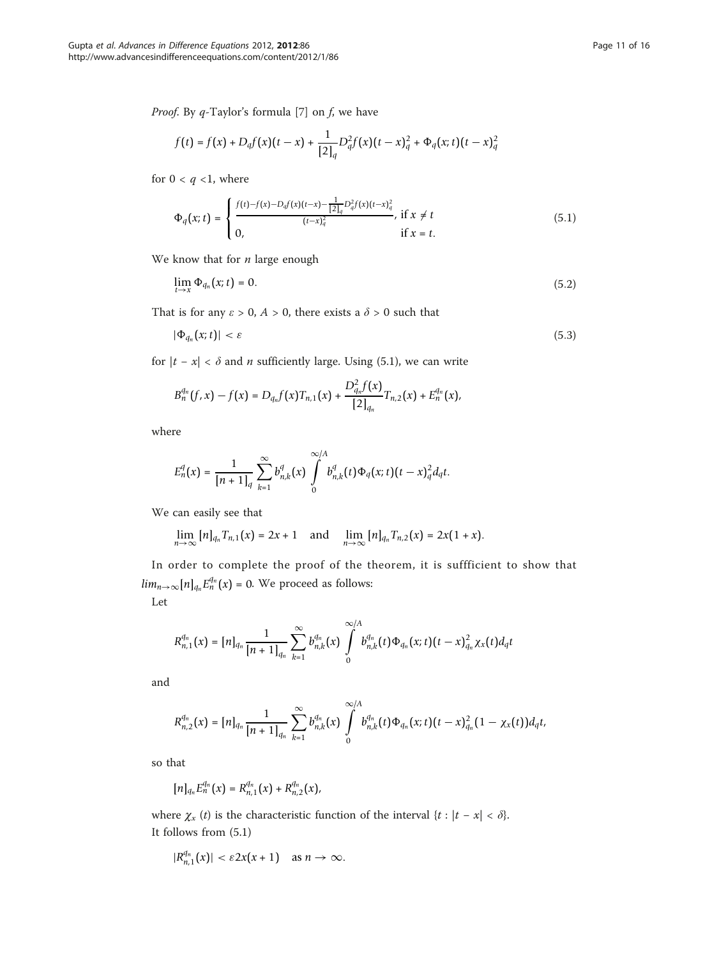$$
f(t) = f(x) + D_q f(x) (t - x) + \frac{1}{[2]_q} D_q^2 f(x) (t - x)_q^2 + \Phi_q(x; t) (t - x)_q^2
$$

for  $0 < q < 1$ , where

$$
\Phi_q(x;t) = \begin{cases}\n\frac{f(t) - f(x) - D_q f(x)(t-x) - \frac{1}{[2]_q} D_q^2 f(x)(t-x)_q^2}{(t-x)_q^2}, & \text{if } x \neq t \\
0, & \text{if } x = t.\n\end{cases}
$$
\n(5.1)

We know that for  $n$  large enough

$$
\lim_{t \to x} \Phi_{q_n}(x; t) = 0. \tag{5.2}
$$

That is for any  $\varepsilon > 0$ ,  $A > 0$ , there exists a  $\delta > 0$  such that

$$
|\Phi_{q_n}(x;t)| < \varepsilon \tag{5.3}
$$

for  $|t - x| < \delta$  and *n* sufficiently large. Using (5.1), we can write

$$
B_n^{q_n}(f,x)-f(x)=D_{q_n}f(x)T_{n,1}(x)+\frac{D_{q_n}^2f(x)}{[2]_{q_n}}T_{n,2}(x)+E_n^{q_n}(x),
$$

where

$$
E_n^q(x) = \frac{1}{[n+1]_q} \sum_{k=1}^{\infty} b_{n,k}^q(x) \int_0^{\infty/k} b_{n,k}^q(t) \Phi_q(x;t) (t-x)_q^2 d_qt.
$$

We can easily see that

$$
\lim_{n\to\infty}\big[n\big]_{q_n}T_{n,1}\big(x\big)=2x+1\quad\text{ and }\quad\lim_{n\to\infty}\big[n\big]_{q_n}T_{n,2}\big(x\big)=2x\big(1+x\big).
$$

In order to complete the proof of the theorem, it is suffficient to show that  $\lim_{n\to\infty} [n]_{q_n} E_n^{q_n}(x) = 0$ . We proceed as follows:

Let

$$
R_{n,1}^{q_n}(x)=[n]_{q_n}\frac{1}{[n+1]_{q_n}}\sum_{k=1}^{\infty}b_{n,k}^{q_n}(x)\int_{0}^{\infty}b_{n,k}^{q_n}(t)\Phi_{q_n}(x;t)(t-x)_{q_n}^2\chi_x(t)d_qt
$$

and

$$
R_{n,2}^{q_n}(x)=[n]_{q_n}\frac{1}{[n+1]_{q_n}}\sum_{k=1}^{\infty}b_{n,k}^{q_n}(x)\int_{0}^{\infty/A}b_{n,k}^{q_n}(t)\Phi_{q_n}(x;t)(t-x)_{q_n}^2(1-\chi_x(t))d_qt,
$$

so that

$$
[n]_{q_n} E_n^{q_n}(x) = R_{n,1}^{q_n}(x) + R_{n,2}^{q_n}(x),
$$

where  $\chi_x(t)$  is the characteristic function of the interval  $\{t : |t - x| < \delta\}$ . It follows from (5.1)

$$
|R_{n,1}^{q_n}(x)| < \varepsilon 2x(x+1) \quad \text{as } n \to \infty.
$$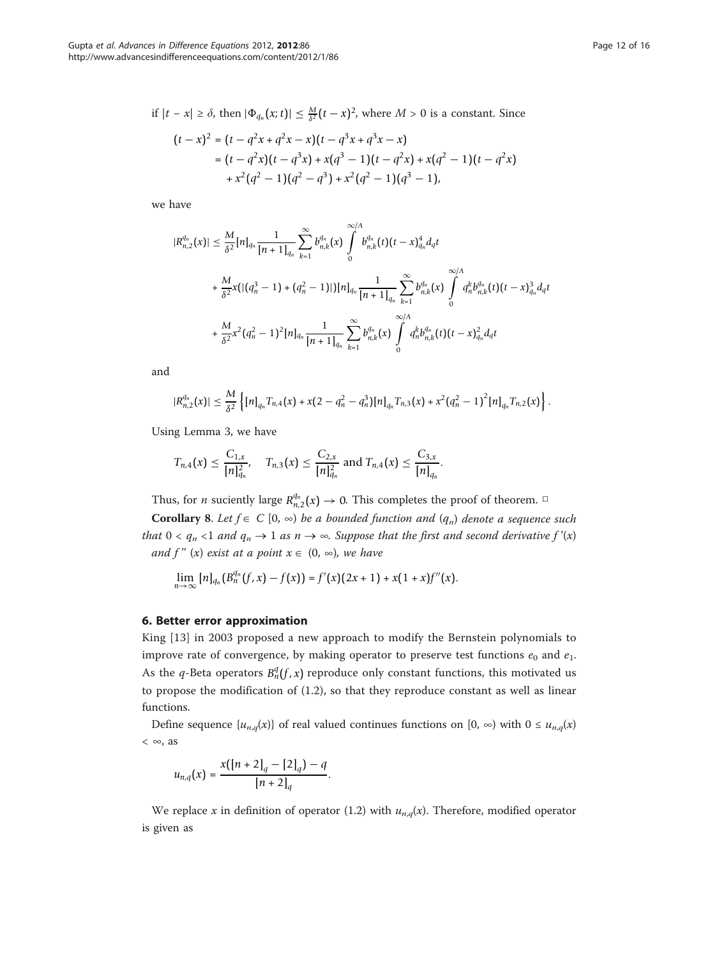$$
(t-x)^2 = (t - q^2x + q^2x - x)(t - q^3x + q^3x - x)
$$
  
=  $(t - q^2x)(t - q^3x) + x(q^3 - 1)(t - q^2x) + x(q^2 - 1)(t - q^2x)$   
+  $x^2(q^2 - 1)(q^2 - q^3) + x^2(q^2 - 1)(q^3 - 1)$ ,

we have

$$
|R_{n,2}^{q_n}(x)| \leq \frac{M}{\delta^2} [n]_{q_n} \frac{1}{[n+1]_{q_n}} \sum_{k=1}^{\infty} b_{n,k}^{q_n}(x) \int_{0}^{\infty/ A} b_{n,k}^{q_n}(t) (t-x)_{q_n}^4 d_q t + \frac{M}{\delta^2} x (|(q_n^3 - 1) + (q_n^2 - 1)|)[n]_{q_n} \frac{1}{[n+1]_{q_n}} \sum_{k=1}^{\infty} b_{n,k}^{q_n}(x) \int_{0}^{\infty/ A} q_n^k b_{n,k}^{q_n}(t) (t-x)_{q_n}^3 d_q t + \frac{M}{\delta^2} x^2 (q_n^2 - 1)^2 [n]_{q_n} \frac{1}{[n+1]_{q_n}} \sum_{k=1}^{\infty} b_{n,k}^{q_n}(x) \int_{0}^{\infty/ A} q_n^k b_{n,k}^{q_n}(t) (t-x)_{q_n}^2 d_q t
$$

and

$$
|R_{n,2}^{q_n}(x)| \leq \frac{M}{\delta^2} \left\{ [n]_{q_n} T_{n,4}(x) + x(2 - q_n^2 - q_n^3) [n]_{q_n} T_{n,3}(x) + x^2 (q_n^2 - 1)^2 [n]_{q_n} T_{n,2}(x) \right\}.
$$

Using Lemma 3, we have

$$
T_{n,4}(x) \leq \frac{C_{1,x}}{[n]_{q_n}^2}
$$
,  $T_{n,3}(x) \leq \frac{C_{2,x}}{[n]_{q_n}^2}$  and  $T_{n,4}(x) \leq \frac{C_{3,x}}{[n]_{q_n}}$ .

Thus, for *n* suciently large  $R_{n,2}^{q_n}(x) \to 0$ . This completes the proof of theorem.  $\Box$ 

**Corollary 8.** Let  $f \in C$  [0,  $\infty$ ) be a bounded function and  $(q_n)$  denote a sequence such that  $0 < q_n < 1$  and  $q_n \to 1$  as  $n \to \infty$ . Suppose that the first and second derivative  $f'(x)$ and f" (x) exist at a point  $x \in (0, \infty)$ , we have

$$
\lim_{n\to\infty} [n]_{q_n} (B_n^{q_n}(f,x)-f(x)) = f'(x) (2x+1) + x(1+x)f''(x).
$$

#### 6. Better error approximation

King [\[13](#page-14-0)] in 2003 proposed a new approach to modify the Bernstein polynomials to improve rate of convergence, by making operator to preserve test functions  $e_0$  and  $e_1$ . As the q-Beta operators  $B_n^q(f, x)$  reproduce only constant functions, this motivated us to propose the modification of (1.2), so that they reproduce constant as well as linear functions.

Define sequence  $\{u_{n,q}(x)\}\$  of real valued continues functions on  $[0, \infty)$  with  $0 \le u_{n,q}(x)$  $< \infty$ , as

$$
u_{n,q}(x)=\frac{x([n+2]_q-[2]_q)-q}{[n+2]_q}.
$$

We replace x in definition of operator (1.2) with  $u_{n,q}(x)$ . Therefore, modified operator is given as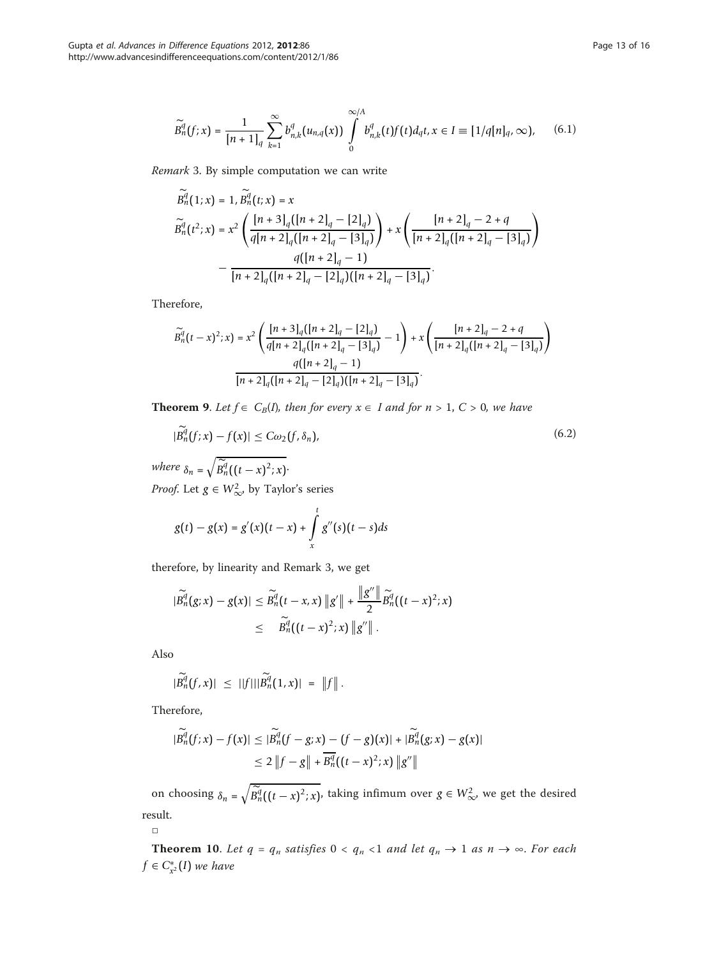$$
\widetilde{B}_n^q(f;x) = \frac{1}{[n+1]_q} \sum_{k=1}^{\infty} b_{n,k}^q(u_{n,q}(x)) \int_0^{\infty/A} b_{n,k}^q(t) f(t) d_q t, x \in I \equiv [1/q[n]_q, \infty), \quad (6.1)
$$

Remark 3. By simple computation we can write

$$
\widetilde{B}_{n}^{q}(1;x) = 1, \widetilde{B}_{n}^{q}(t;x) = x
$$
\n
$$
\widetilde{B}_{n}^{q}(t^{2}; x) = x^{2} \left( \frac{\left[ n+3 \right]_{q} \left[ \left[ n+2 \right]_{q}-\left[ 2 \right]_{q} \right]}{\left[ q \right[ n+2 \right]_{q} \left( \left[ n+2 \right]_{q}-\left[ 3 \right]_{q} \right)} \right) + x \left( \frac{\left[ n+2 \right]_{q}-2+q}{\left[ n+2 \right]_{q} \left( \left[ n+2 \right]_{q}-\left[ 3 \right]_{q} \right)} - \frac{q(\left[ n+2 \right]_{q}-1)}{\left[ n+2 \right]_{q} \left( \left[ n+2 \right]_{q}-\left[ 2 \right]_{q} \right) \left( \left[ n+2 \right]_{q}-\left[ 3 \right]_{q} \right)}.
$$

Therefore,

$$
\begin{split} \widetilde{B}^q_n(t-x)^2;x)&=x^2\left(\frac{[n+3]_q([n+2]_q-[2]_q)}{q[n+2]_q([n+2]_q-[3]_q)}-1\right)+x\left(\frac{[n+2]_q-2+q}{[n+2]_q([n+2]_q-[3]_q)}\right)\\ &\frac{q([n+2]_q-1)}{[n+2]_q([n+2]_q-[2]_q)[[n+2]_q-[3]_q)}.\end{split}
$$

**Theorem 9.** Let  $f \in C_B(I)$ , then for every  $x \in I$  and for  $n > 1$ ,  $C > 0$ , we have

$$
|B_n^q(f;x) - f(x)| \le C\omega_2(f,\delta_n),\tag{6.2}
$$

where  $\delta_n = \sqrt{\widetilde{B}_n^q((t-x)^2; x)}$ . *Proof.* Let  $g \in W^2_{\infty}$ , by Taylor's series

$$
g(t) - g(x) = g'(x)(t - x) + \int_{x}^{t} g''(s)(t - s)ds
$$

therefore, by linearity and Remark 3, we get

$$
|\widetilde{B}_n^q(g;x) - g(x)| \leq \widetilde{B}_n^q(t - x, x) \|g'\| + \frac{\|g''\|}{2} \widetilde{B}_n^q((t - x)^2; x) \\ \leq \widetilde{B}_n^q((t - x)^2; x) \|g''\|.
$$

Also

$$
|\widetilde{B}_n^q(f,x)| \leq ||f|| |\widetilde{B}_n^q(1,x)| = ||f||.
$$

Therefore,

$$
|\widetilde{B}_n^q(f;x) - f(x)| \leq |\widetilde{B}_n^q(f - g;x) - (f - g)(x)| + |\widetilde{B}_n^q(g;x) - g(x)|
$$
  
\n
$$
\leq 2 \|f - g\| + \overline{B_n^q}((t - x)^2; x) \|g''\|
$$

on choosing  $\delta_n = \sqrt{\widetilde{B}_n^q((t-x)^2; x)}$ , taking infimum over  $g \in W^2_{\infty}$ , we get the desired result.

□

**Theorem 10.** Let  $q = q_n$  satisfies  $0 < q_n < 1$  and let  $q_n \to 1$  as  $n \to \infty$ . For each  $f$  ∈  $C_{x^2}^*(I)$  we have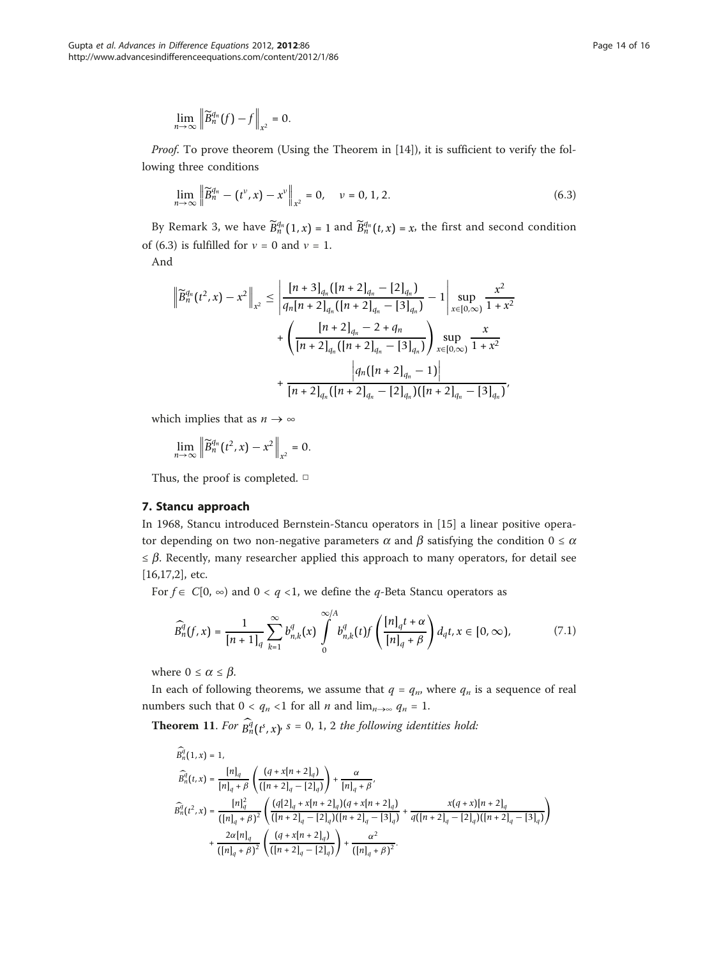$$
\lim_{n\to\infty}\left\|\widetilde{B}_n^{q_n}(f)-f\right\|_{x^2}=0.
$$

*Proof.* To prove theorem (Using the Theorem in  $[14]$  $[14]$  $[14]$ ), it is sufficient to verify the following three conditions

$$
\lim_{n \to \infty} \left\| \widetilde{B}_n^{q_n} - (t^{\nu}, x) - x^{\nu} \right\|_{x^2} = 0, \quad \nu = 0, 1, 2. \tag{6.3}
$$

By Remark 3, we have  $\widetilde{B}_n^{q_n}(1, x) = 1$  and  $\widetilde{B}_n^{q_n}(t, x) = x$ , the first and second condition of (6.3) is fulfilled for  $v = 0$  and  $v = 1$ .

And

$$
\left\| \widetilde{B}_{n}^{q_{n}}(t^{2}, x) - x^{2} \right\|_{x^{2}} \leq \left| \frac{[n+3]_{q_{n}}([n+2]_{q_{n}} - [2]_{q_{n}})}{q_{n}[n+2]_{q_{n}}([n+2]_{q_{n}} - [3]_{q_{n}})} - 1 \right| \sup_{x \in [0, \infty)} \frac{x^{2}}{1 + x^{2}} + \left( \frac{[n+2]_{q_{n}} - 2 + q_{n}}{[n+2]_{q_{n}}([n+2]_{q_{n}} - [3]_{q_{n}})} \right) \sup_{x \in [0, \infty)} \frac{x}{1 + x^{2}} + \frac{|q_{n}([n+2]_{q_{n}} - [3]_{q_{n}})}{[n+2]_{q_{n}}([n+2]_{q_{n}} - [2]_{q_{n}})([n+2]_{q_{n}} - [3]_{q_{n}})},
$$

which implies that as  $n \to \infty$ 

$$
\lim_{n\to\infty}\left\|\widetilde{B}_n^{q_n}(t^2,x)-x^2\right\|_{x^2}=0.
$$

Thus, the proof is completed. □

## 7. Stancu approach

In 1968, Stancu introduced Bernstein-Stancu operators in [\[15](#page-15-0)] a linear positive operator depending on two non-negative parameters  $\alpha$  and  $\beta$  satisfying the condition  $0 \leq \alpha$  $\leq \beta$ . Recently, many researcher applied this approach to many operators, for detail see [[16,17](#page-15-0),[2](#page-14-0)], etc.

For  $f \in C[0, \infty)$  and  $0 < q < 1$ , we define the q-Beta Stancu operators as

$$
\widehat{B}_{n}^q(f,x) = \frac{1}{[n+1]_q} \sum_{k=1}^{\infty} b_{n,k}^q(x) \int_0^{\infty/A} b_{n,k}^q(t) f\left(\frac{[n]_q t + \alpha}{[n]_q + \beta}\right) d_q t, x \in [0, \infty), \tag{7.1}
$$

where  $0 \leq \alpha \leq \beta$ .

In each of following theorems, we assume that  $q = q_n$ , where  $q_n$  is a sequence of real numbers such that  $0 < q_n < 1$  for all *n* and  $\lim_{n \to \infty} q_n = 1$ .

**Theorem 11.** For  $\overline{B_n^d}(t^s, x)$ ,  $s = 0, 1, 2$  the following identities hold:

$$
\begin{split} \bar{B}_n^{\bar{q}}(1,x) &= 1,\\ \widehat{B}_n^{\bar{q}}(t,x) &= \frac{[n]_q}{[n]_q + \beta} \left( \frac{(q+x[n+2]_q)}{([n+2]_q - [2]_q)} \right) + \frac{\alpha}{[n]_q + \beta},\\ \widehat{B}_n^{\bar{q}}(t^2,x) &= \frac{[n]_q^2}{([n]_q + \beta)^2} \left( \frac{(q[2]_q + x[n+2]_q)(q+x[n+2]_q)}{([n+2]_q - [2]_q)([n+2]_q - [3]_q)} \right) + \frac{x(q+x)[n+2]_q}{([n]_q + \beta)^2} \left( \frac{(q+x[n+2]_q)}{([n+2]_q - [2]_q)} \right) + \frac{\alpha^2}{([n]_q + \beta)^2}. \end{split}
$$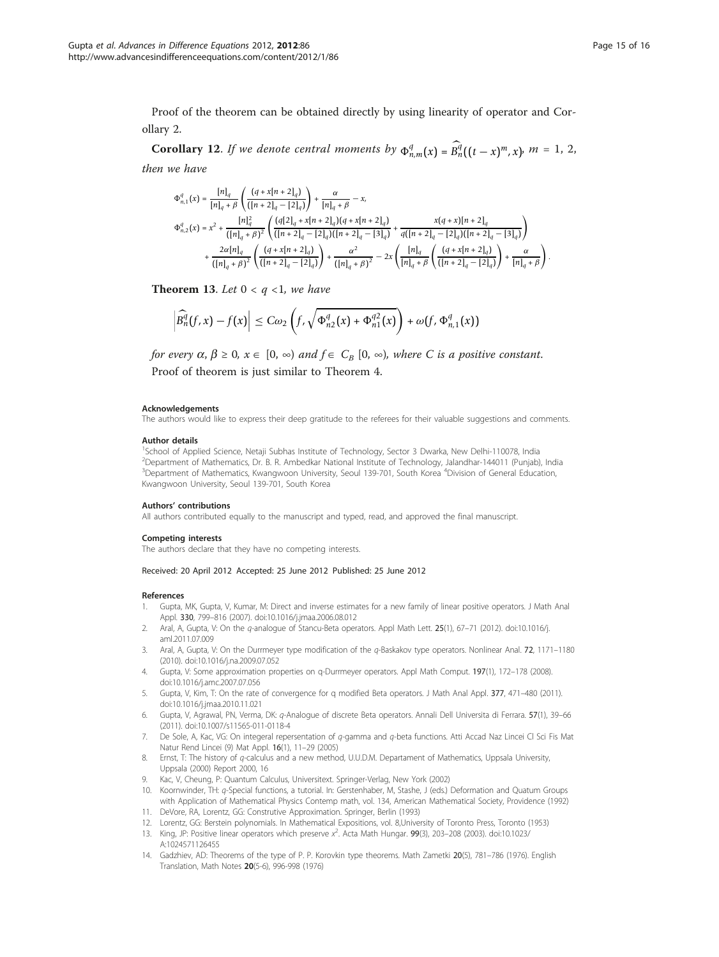<span id="page-14-0"></span>Proof of the theorem can be obtained directly by using linearity of operator and Corollary 2.

**Corollary 12.** If we denote central moments by  $\Phi_{n,m}^q(x) = B_n^{\tilde{q}}((t-x)^m, x)$ ,  $m = 1, 2,$ then we have

$$
\begin{split} \Phi_{n,1}^q(x) &= \frac{[n]_q}{[n]_q+\beta} \left( \frac{\left(q+x[n+2]_q\right)}{\left([n+2]_q-[2]_q\right)}\right) + \frac{\alpha}{[n]_q+\beta} - x, \\ \Phi_{n,2}^q(x) &= x^2 + \frac{[n]_q^2}{\left([n]_q+\beta\right)^2} \left( \frac{\left(q[2]_q+x[n+2]_q\right)\left(q+x[n+2]_q\right)}{\left([n+2]_q-[2]_q\right)\left([n+2]_q-[3]_q\right)} + \frac{x(q+x)[n+2]_q}{q\left([n+2]_q-[2]_q\right)\left([n+2]_q-[3]_q\right)} \right) \\ &\quad + \frac{2\alpha [n]_q}{\left([n]_q+\beta\right)^2} \left( \frac{\left(q+x[n+2]_q\right)}{\left([n+2]_q-[2]_q\right)} \right) + \frac{\alpha^2}{\left([n]_q+\beta\right)^2} - 2x \left( \frac{[n]_q}{[n]_q+\beta} \left( \frac{\left(q+x[n+2]_q\right)}{\left([n+2]_q-[2]_q\right)} \right) + \frac{\alpha}{[n]_q+\beta} \right) \end{split}
$$

**Theorem 13.** Let  $0 < q < 1$ , we have

$$
\left|\widehat{B}_n^q(f,x)-f(x)\right|\leq C\omega_2\left(f,\sqrt{\Phi_{n2}^q(x)+\Phi_{n1}^{q2}(x)}\right)+\omega(f,\Phi_{n,1}^q(x))
$$

for every  $\alpha, \beta \ge 0$ ,  $x \in [0, \infty)$  and  $f \in C_B [0, \infty)$ , where C is a positive constant. Proof of theorem is just similar to Theorem 4.

#### Acknowledgements

The authors would like to express their deep gratitude to the referees for their valuable suggestions and comments.

#### Author details

<sup>1</sup>School of Applied Science, Netaji Subhas Institute of Technology, Sector 3 Dwarka, New Delhi-110078, India 2 Department of Mathematics, Dr. B. R. Ambedkar National Institute of Technology, Jalandhar-144011 (Punjab), India <sup>3</sup>Department of Mathematics, Kwangwoon University, Seoul 139-701, South Korea <sup>4</sup>Division of General Education, Kwangwoon University, Seoul 139-701, South Korea

#### Authors' contributions

All authors contributed equally to the manuscript and typed, read, and approved the final manuscript.

#### Competing interests

The authors declare that they have no competing interests.

Received: 20 April 2012 Accepted: 25 June 2012 Published: 25 June 2012

#### References

- 1. Gupta, MK, Gupta, V, Kumar, M: Direct and inverse estimates for a new family of linear positive operators. J Math Anal Appl. 330, 799–816 (2007). doi:10.1016/j.jmaa.2006.08.012
- 2. Aral, A, Gupta, V: On the q-analogue of Stancu-Beta operators. Appl Math Lett. 25(1), 67–71 (2012). doi:10.1016/j. aml.2011.07.009
- 3. Aral, A, Gupta, V: On the Durrmeyer type modification of the q-Baskakov type operators. Nonlinear Anal. 72, 1171–1180 (2010). doi:10.1016/j.na.2009.07.052
- 4. Gupta, V: Some approximation properties on q-Durrmeyer operators. Appl Math Comput. 197(1), 172–178 (2008). doi:10.1016/j.amc.2007.07.056
- 5. Gupta, V, Kim, T: On the rate of convergence for q modified Beta operators. J Math Anal Appl. 377, 471–480 (2011). doi:10.1016/j.jmaa.2010.11.021
- 6. Gupta, V, Agrawal, PN, Verma, DK: q-Analogue of discrete Beta operators. Annali Dell Universita di Ferrara. 57(1), 39–66 (2011). doi:10.1007/s11565-011-0118-4
- 7. De Sole, A, Kac, VG: On integeral repersentation of q-gamma and q-beta functions. Atti Accad Naz Lincei Cl Sci Fis Mat Natur Rend Lincei (9) Mat Appl. 16(1), 11–29 (2005)
- 8. Ernst, T: The history of q-calculus and a new method, U.U.D.M. Departament of Mathematics, Uppsala University, Uppsala (2000) Report 2000, 16
- 9. Kac, V, Cheung, P: Quantum Calculus, Universitext. Springer-Verlag, New York (2002)
- 10. Koornwinder, TH: q-Special functions, a tutorial. In: Gerstenhaber, M, Stashe, J (eds.) Deformation and Quatum Groups with Application of Mathematical Physics Contemp math, vol. 134, American Mathematical Society, Providence (1992) 11. DeVore, RA, Lorentz, GG: Construtive Approximation. Springer, Berlin (1993)
- 12. Lorentz, GG: Berstein polynomials. In Mathematical Expositions, vol. 8,University of Toronto Press, Toronto (1953)
- 13. King, JP: Positive linear operators which preserve  $x^2$ . Acta Math Hungar. 99(3), 203–208 (2003). doi:10.1023/ A:1024571126455
- 14. Gadzhiev, AD: Theorems of the type of P. P. Korovkin type theorems. Math Zametki 20(5), 781–786 (1976). English Translation, Math Notes 20(5-6), 996-998 (1976)